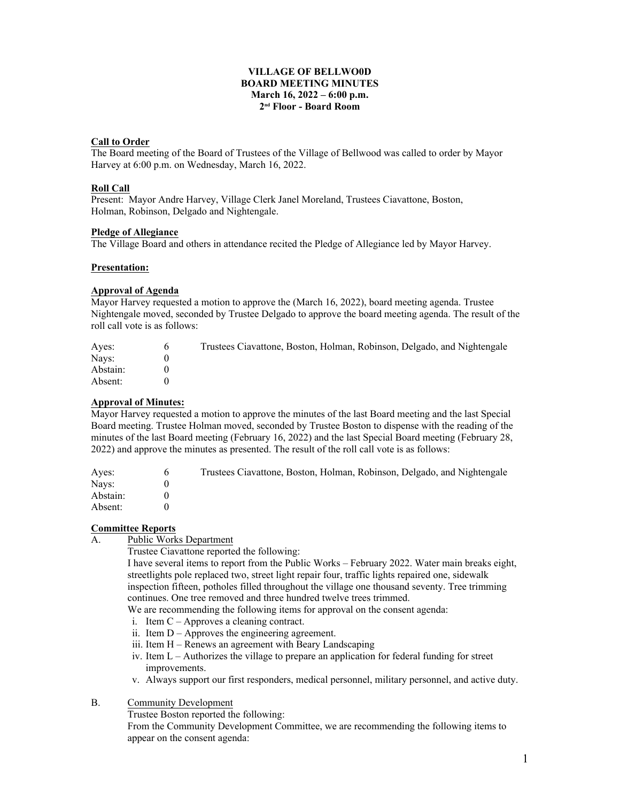## **VILLAGE OF BELLWO0D BOARD MEETING MINUTES March 16, 2022 – 6:00 p.m. 2 nd Floor - Board Room**

## **Call to Order**

The Board meeting of the Board of Trustees of the Village of Bellwood was called to order by Mayor Harvey at 6:00 p.m. on Wednesday, March 16, 2022.

# **Roll Call**

Present: Mayor Andre Harvey, Village Clerk Janel Moreland, Trustees Ciavattone, Boston, Holman, Robinson, Delgado and Nightengale.

### **Pledge of Allegiance**

The Village Board and others in attendance recited the Pledge of Allegiance led by Mayor Harvey.

#### **Presentation:**

# **Approval of Agenda**

Mayor Harvey requested a motion to approve the (March 16, 2022), board meeting agenda. Trustee Nightengale moved, seconded by Trustee Delgado to approve the board meeting agenda. The result of the roll call vote is as follows:

| Ayes:    | Trustees Ciavattone, Boston, Holman, Robinson, Delgado, and Nightengale |
|----------|-------------------------------------------------------------------------|
| Navs:    |                                                                         |
| Abstain: |                                                                         |
| Absent:  |                                                                         |

# **Approval of Minutes:**

Mayor Harvey requested a motion to approve the minutes of the last Board meeting and the last Special Board meeting. Trustee Holman moved, seconded by Trustee Boston to dispense with the reading of the minutes of the last Board meeting (February 16, 2022) and the last Special Board meeting (February 28, 2022) and approve the minutes as presented. The result of the roll call vote is as follows:

| Aves:    | <sub>0</sub> | Trustees Ciavattone, Boston, Holman, Robinson, Delgado, and Nightengale |
|----------|--------------|-------------------------------------------------------------------------|
| Navs:    |              |                                                                         |
| Abstain: |              |                                                                         |
| Absent:  |              |                                                                         |

### **Committee Reports**

A. Public Works Department

Trustee Ciavattone reported the following:

I have several items to report from the Public Works – February 2022. Water main breaks eight, streetlights pole replaced two, street light repair four, traffic lights repaired one, sidewalk inspection fifteen, potholes filled throughout the village one thousand seventy. Tree trimming continues. One tree removed and three hundred twelve trees trimmed.

We are recommending the following items for approval on the consent agenda:

- i. Item C Approves a cleaning contract.
- ii. Item D Approves the engineering agreement.
- iii. Item H Renews an agreement with Beary Landscaping
- iv. Item L Authorizes the village to prepare an application for federal funding for street improvements.
- v. Always support our first responders, medical personnel, military personnel, and active duty.
- B. Community Development

Trustee Boston reported the following:

From the Community Development Committee, we are recommending the following items to appear on the consent agenda: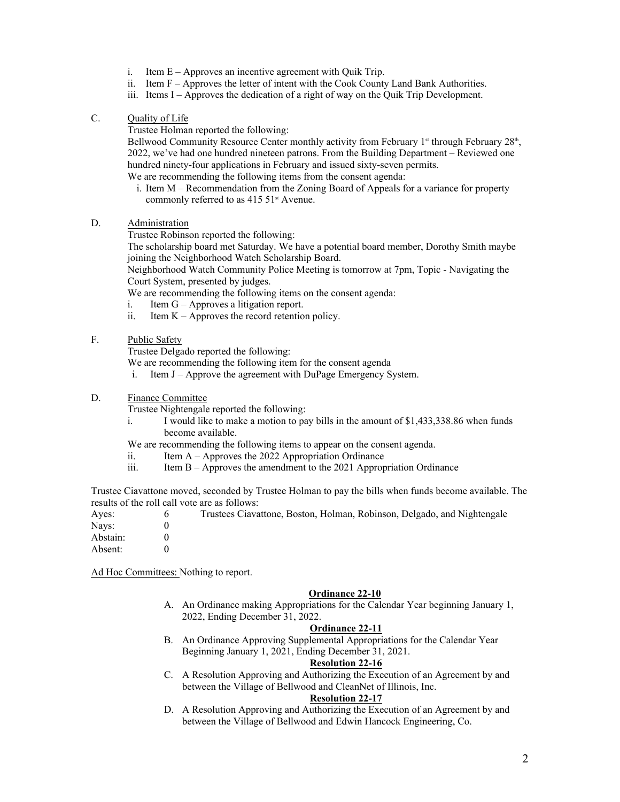- i. Item E Approves an incentive agreement with Quik Trip.
- ii. Item F Approves the letter of intent with the Cook County Land Bank Authorities.
- iii. Items I Approves the dedication of a right of way on the Quik Trip Development.

## C. Quality of Life

Trustee Holman reported the following:

Bellwood Community Resource Center monthly activity from February  $1<sup>st</sup>$  through February  $28<sup>th</sup>$ . , 2022, we've had one hundred nineteen patrons. From the Building Department – Reviewed one hundred ninety-four applications in February and issued sixty-seven permits. We are recommending the following items from the consent agenda:

i. Item M – Recommendation from the Zoning Board of Appeals for a variance for property commonly referred to as 415 51<sup>st</sup> Avenue.

## D. Administration

Trustee Robinson reported the following:

The scholarship board met Saturday. We have a potential board member, Dorothy Smith maybe joining the Neighborhood Watch Scholarship Board.

Neighborhood Watch Community Police Meeting is tomorrow at 7pm, Topic - Navigating the Court System, presented by judges.

We are recommending the following items on the consent agenda:

- i. Item G Approves a litigation report.
- ii. Item  $K -$  Approves the record retention policy.

# F. Public Safety

Trustee Delgado reported the following:

We are recommending the following item for the consent agenda

i. Item J – Approve the agreement with DuPage Emergency System.

# D. Finance Committee

Trustee Nightengale reported the following:

i. I would like to make a motion to pay bills in the amount of \$1,433,338.86 when funds become available.

We are recommending the following items to appear on the consent agenda.

- ii. Item A Approves the 2022 Appropriation Ordinance
- iii. Item B Approves the amendment to the 2021 Appropriation Ordinance

Trustee Ciavattone moved, seconded by Trustee Holman to pay the bills when funds become available. The results of the roll call vote are as follows:

| Aves:    | Trustees Ciavattone, Boston, Holman, Robinson, Delgado, and Nightengale |
|----------|-------------------------------------------------------------------------|
| Navs:    |                                                                         |
| Abstain: |                                                                         |
| Absent:  |                                                                         |

Ad Hoc Committees: Nothing to report.

### **Ordinance 22-10**

A. An Ordinance making Appropriations for the Calendar Year beginning January 1, 2022, Ending December 31, 2022.

## **Ordinance 22-11**

B. An Ordinance Approving Supplemental Appropriations for the Calendar Year Beginning January 1, 2021, Ending December 31, 2021.

# **Resolution 22-16**

C. A Resolution Approving and Authorizing the Execution of an Agreement by and between the Village of Bellwood and CleanNet of Illinois, Inc.

# **Resolution 22-17**

D. A Resolution Approving and Authorizing the Execution of an Agreement by and between the Village of Bellwood and Edwin Hancock Engineering, Co.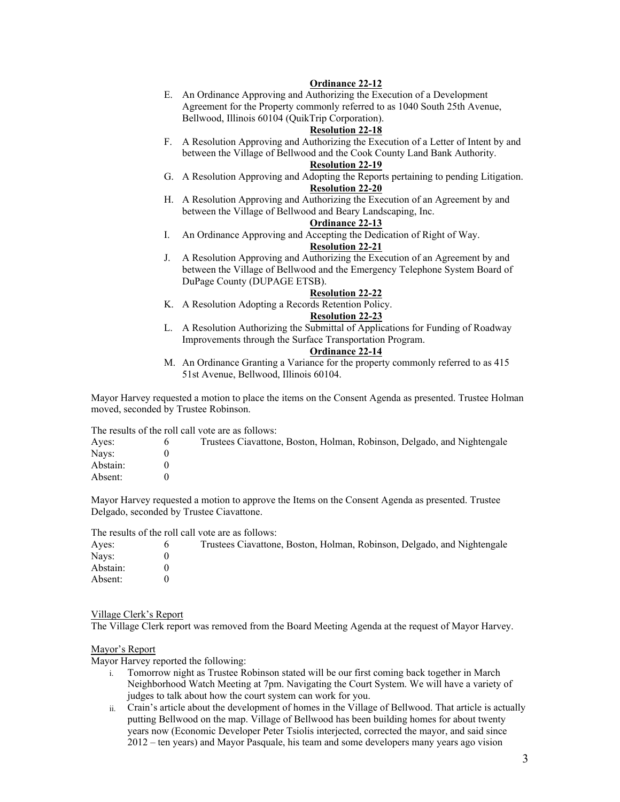## **Ordinance 22-12**

E. An Ordinance Approving and Authorizing the Execution of a Development Agreement for the Property commonly referred to as 1040 South 25th Avenue, Bellwood, Illinois 60104 (QuikTrip Corporation).

#### **Resolution 22-18**

F. A Resolution Approving and Authorizing the Execution of a Letter of Intent by and between the Village of Bellwood and the Cook County Land Bank Authority.

#### **Resolution 22-19**

- G. A Resolution Approving and Adopting the Reports pertaining to pending Litigation. **Resolution 22-20**
- H. A Resolution Approving and Authorizing the Execution of an Agreement by and between the Village of Bellwood and Beary Landscaping, Inc.

### **Ordinance 22-13**

I. An Ordinance Approving and Accepting the Dedication of Right of Way.

# **Resolution 22-21**

J. A Resolution Approving and Authorizing the Execution of an Agreement by and between the Village of Bellwood and the Emergency Telephone System Board of DuPage County (DUPAGE ETSB).

### **Resolution 22-22**

K. A Resolution Adopting a Records Retention Policy.

## **Resolution 22-23**

L. A Resolution Authorizing the Submittal of Applications for Funding of Roadway Improvements through the Surface Transportation Program.

### **Ordinance 22-14**

M. An Ordinance Granting a Variance for the property commonly referred to as 415 51st Avenue, Bellwood, Illinois 60104.

Mayor Harvey requested a motion to place the items on the Consent Agenda as presented. Trustee Holman moved, seconded by Trustee Robinson.

The results of the roll call vote are as follows:

| Aves:    | Trustees Ciavattone, Boston, Holman, Robinson, Delgado, and Nightengale |
|----------|-------------------------------------------------------------------------|
| Navs:    |                                                                         |
| Abstain: |                                                                         |
| Absent:  |                                                                         |

Mayor Harvey requested a motion to approve the Items on the Consent Agenda as presented. Trustee Delgado, seconded by Trustee Ciavattone.

The results of the roll call vote are as follows:

| Ayes:    | Trustees Ciavattone, Boston, Holman, Robinson, Delgado, and Nightengale |
|----------|-------------------------------------------------------------------------|
| Navs:    |                                                                         |
| Abstain: |                                                                         |
| Absent:  |                                                                         |

#### Village Clerk's Report

The Village Clerk report was removed from the Board Meeting Agenda at the request of Mayor Harvey.

#### Mayor's Report

Mayor Harvey reported the following:

- i. Tomorrow night as Trustee Robinson stated will be our first coming back together in March Neighborhood Watch Meeting at 7pm. Navigating the Court System. We will have a variety of judges to talk about how the court system can work for you.
- ii. Crain's article about the development of homes in the Village of Bellwood. That article is actually putting Bellwood on the map. Village of Bellwood has been building homes for about twenty years now (Economic Developer Peter Tsiolis interjected, corrected the mayor, and said since 2012 – ten years) and Mayor Pasquale, his team and some developers many years ago vision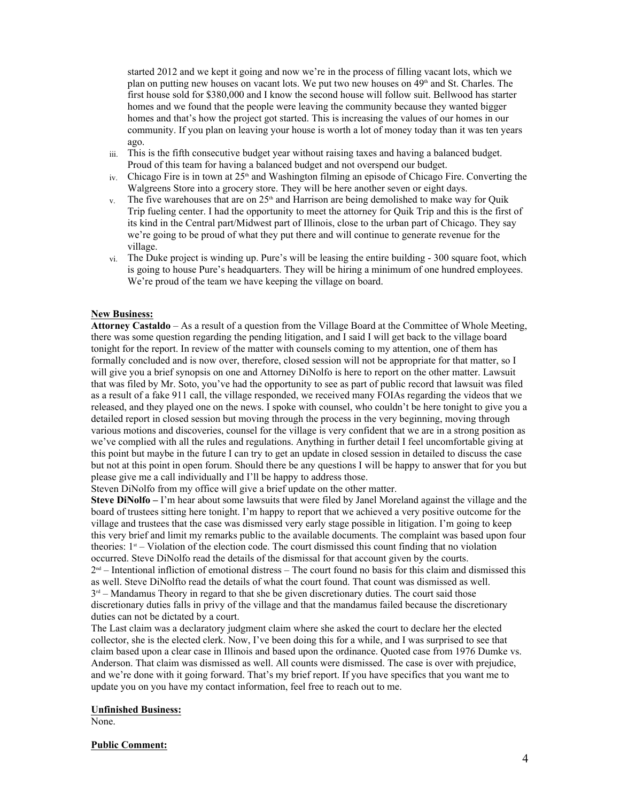started 2012 and we kept it going and now we're in the process of filling vacant lots, which we plan on putting new houses on vacant lots. We put two new houses on  $49<sup>th</sup>$  and St. Charles. The first house sold for \$380,000 and I know the second house will follow suit. Bellwood has starter homes and we found that the people were leaving the community because they wanted bigger homes and that's how the project got started. This is increasing the values of our homes in our community. If you plan on leaving your house is worth a lot of money today than it was ten years ago.

- iii. This is the fifth consecutive budget year without raising taxes and having a balanced budget. Proud of this team for having a balanced budget and not overspend our budget.
- $iv.$  Chicago Fire is in town at 25<sup>th</sup> and Washington filming an episode of Chicago Fire. Converting the Walgreens Store into a grocery store. They will be here another seven or eight days.
- v. The five warehouses that are on  $25<sup>th</sup>$  and Harrison are being demolished to make way for Quik Trip fueling center. I had the opportunity to meet the attorney for Quik Trip and this is the first of its kind in the Central part/Midwest part of Illinois, close to the urban part of Chicago. They say we're going to be proud of what they put there and will continue to generate revenue for the village.
- vi. The Duke project is winding up. Pure's will be leasing the entire building 300 square foot, which is going to house Pure's headquarters. They will be hiring a minimum of one hundred employees. We're proud of the team we have keeping the village on board.

## **New Business:**

**Attorney Castaldo** – As a result of a question from the Village Board at the Committee of Whole Meeting, there was some question regarding the pending litigation, and I said I will get back to the village board tonight for the report. In review of the matter with counsels coming to my attention, one of them has formally concluded and is now over, therefore, closed session will not be appropriate for that matter, so I will give you a brief synopsis on one and Attorney DiNolfo is here to report on the other matter. Lawsuit that was filed by Mr. Soto, you've had the opportunity to see as part of public record that lawsuit was filed as a result of a fake 911 call, the village responded, we received many FOIAs regarding the videos that we released, and they played one on the news. I spoke with counsel, who couldn't be here tonight to give you a detailed report in closed session but moving through the process in the very beginning, moving through various motions and discoveries, counsel for the village is very confident that we are in a strong position as we've complied with all the rules and regulations. Anything in further detail I feel uncomfortable giving at this point but maybe in the future I can try to get an update in closed session in detailed to discuss the case but not at this point in open forum. Should there be any questions I will be happy to answer that for you but please give me a call individually and I'll be happy to address those.

Steven DiNolfo from my office will give a brief update on the other matter.

**Steve DiNolfo –** I'm hear about some lawsuits that were filed by Janel Moreland against the village and the board of trustees sitting here tonight. I'm happy to report that we achieved a very positive outcome for the village and trustees that the case was dismissed very early stage possible in litigation. I'm going to keep this very brief and limit my remarks public to the available documents. The complaint was based upon four theories:  $1<sup>st</sup>$  – Violation of the election code. The court dismissed this count finding that no violation occurred. Steve DiNolfo read the details of the dismissal for that account given by the courts.  $2<sup>nd</sup>$  – Intentional infliction of emotional distress – The court found no basis for this claim and dismissed this

as well. Steve DiNolfto read the details of what the court found. That count was dismissed as well.  $3<sup>rd</sup>$  – Mandamus Theory in regard to that she be given discretionary duties. The court said those discretionary duties falls in privy of the village and that the mandamus failed because the discretionary duties can not be dictated by a court.

The Last claim was a declaratory judgment claim where she asked the court to declare her the elected collector, she is the elected clerk. Now, I've been doing this for a while, and I was surprised to see that claim based upon a clear case in Illinois and based upon the ordinance. Quoted case from 1976 Dumke vs. Anderson. That claim was dismissed as well. All counts were dismissed. The case is over with prejudice, and we're done with it going forward. That's my brief report. If you have specifics that you want me to update you on you have my contact information, feel free to reach out to me.

### **Unfinished Business:**

None.

#### **Public Comment:**